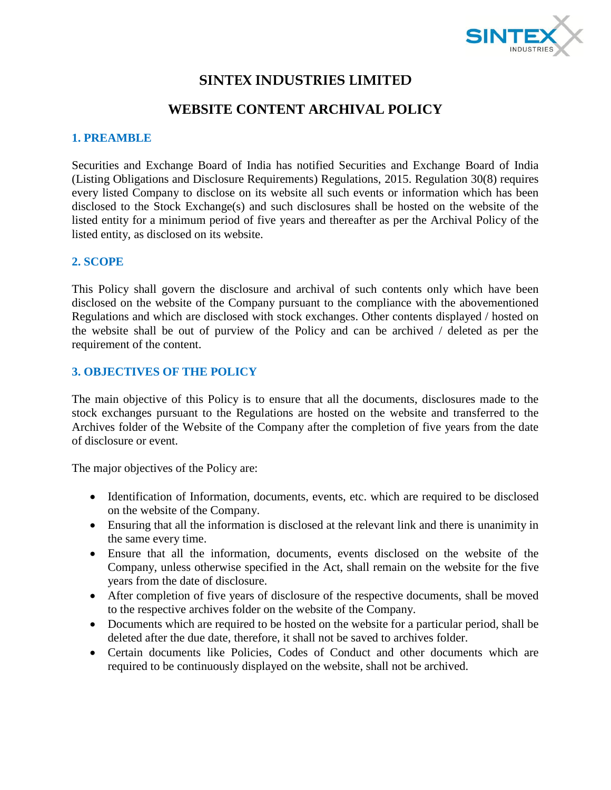

# **SINTEX INDUSTRIES LIMITED**

# **WEBSITE CONTENT ARCHIVAL POLICY**

#### **1. PREAMBLE**

Securities and Exchange Board of India has notified Securities and Exchange Board of India (Listing Obligations and Disclosure Requirements) Regulations, 2015. Regulation 30(8) requires every listed Company to disclose on its website all such events or information which has been disclosed to the Stock Exchange(s) and such disclosures shall be hosted on the website of the listed entity for a minimum period of five years and thereafter as per the Archival Policy of the listed entity, as disclosed on its website.

#### **2. SCOPE**

This Policy shall govern the disclosure and archival of such contents only which have been disclosed on the website of the Company pursuant to the compliance with the abovementioned Regulations and which are disclosed with stock exchanges. Other contents displayed / hosted on the website shall be out of purview of the Policy and can be archived / deleted as per the requirement of the content.

#### **3. OBJECTIVES OF THE POLICY**

The main objective of this Policy is to ensure that all the documents, disclosures made to the stock exchanges pursuant to the Regulations are hosted on the website and transferred to the Archives folder of the Website of the Company after the completion of five years from the date of disclosure or event.

The major objectives of the Policy are:

- Identification of Information, documents, events, etc. which are required to be disclosed on the website of the Company.
- Ensuring that all the information is disclosed at the relevant link and there is unanimity in the same every time.
- Ensure that all the information, documents, events disclosed on the website of the Company, unless otherwise specified in the Act, shall remain on the website for the five years from the date of disclosure.
- After completion of five years of disclosure of the respective documents, shall be moved to the respective archives folder on the website of the Company.
- Documents which are required to be hosted on the website for a particular period, shall be deleted after the due date, therefore, it shall not be saved to archives folder.
- Certain documents like Policies, Codes of Conduct and other documents which are required to be continuously displayed on the website, shall not be archived.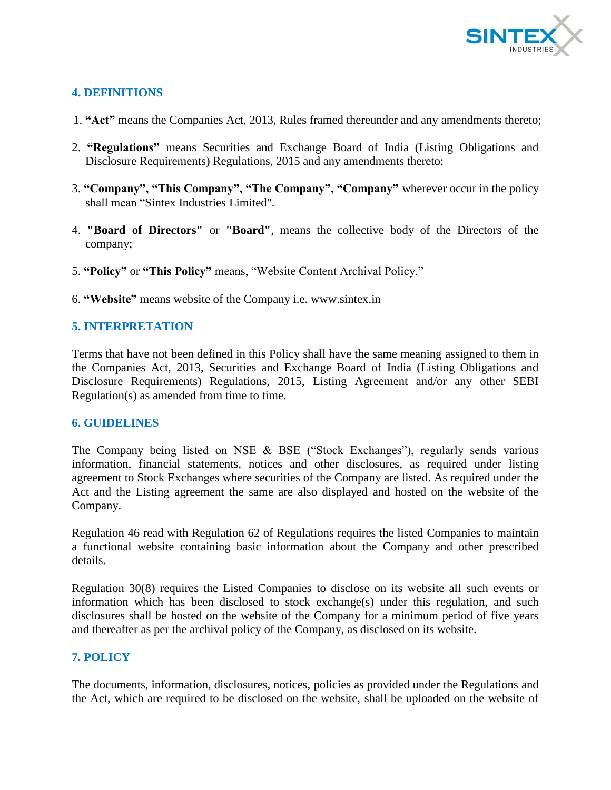

# **4. DEFINITIONS**

- 1. **"Act"** means the Companies Act, 2013, Rules framed thereunder and any amendments thereto;
- 2. **"Regulations"** means Securities and Exchange Board of India (Listing Obligations and Disclosure Requirements) Regulations, 2015 and any amendments thereto;
- 3. **"Company", "This Company", "The Company", "Company"** wherever occur in the policy shall mean "Sintex Industries Limited".
- 4. **"Board of Directors"** or **"Board"**, means the collective body of the Directors of the company;
- 5. **"Policy"** or **"This Policy"** means, "Website Content Archival Policy."
- 6. **"Website"** means website of the Company i.e. www.sintex.in

# **5. INTERPRETATION**

Terms that have not been defined in this Policy shall have the same meaning assigned to them in the Companies Act, 2013, Securities and Exchange Board of India (Listing Obligations and Disclosure Requirements) Regulations, 2015, Listing Agreement and/or any other SEBI Regulation(s) as amended from time to time.

#### **6. GUIDELINES**

The Company being listed on NSE & BSE ("Stock Exchanges"), regularly sends various information, financial statements, notices and other disclosures, as required under listing agreement to Stock Exchanges where securities of the Company are listed. As required under the Act and the Listing agreement the same are also displayed and hosted on the website of the Company.

Regulation 46 read with Regulation 62 of Regulations requires the listed Companies to maintain a functional website containing basic information about the Company and other prescribed details.

Regulation 30(8) requires the Listed Companies to disclose on its website all such events or information which has been disclosed to stock exchange(s) under this regulation, and such disclosures shall be hosted on the website of the Company for a minimum period of five years and thereafter as per the archival policy of the Company, as disclosed on its website.

### **7. POLICY**

The documents, information, disclosures, notices, policies as provided under the Regulations and the Act, which are required to be disclosed on the website, shall be uploaded on the website of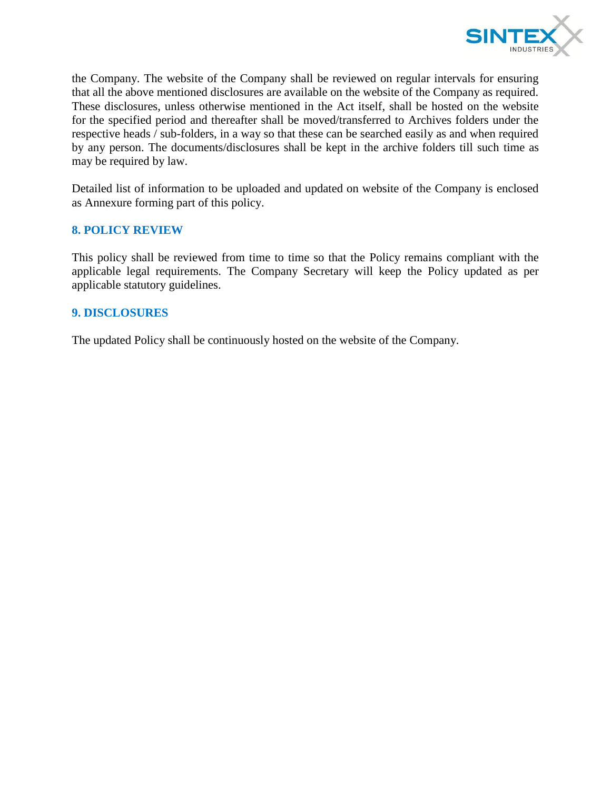

the Company. The website of the Company shall be reviewed on regular intervals for ensuring that all the above mentioned disclosures are available on the website of the Company as required. These disclosures, unless otherwise mentioned in the Act itself, shall be hosted on the website for the specified period and thereafter shall be moved/transferred to Archives folders under the respective heads / sub-folders, in a way so that these can be searched easily as and when required by any person. The documents/disclosures shall be kept in the archive folders till such time as may be required by law.

Detailed list of information to be uploaded and updated on website of the Company is enclosed as Annexure forming part of this policy.

#### **8. POLICY REVIEW**

This policy shall be reviewed from time to time so that the Policy remains compliant with the applicable legal requirements. The Company Secretary will keep the Policy updated as per applicable statutory guidelines.

#### **9. DISCLOSURES**

The updated Policy shall be continuously hosted on the website of the Company.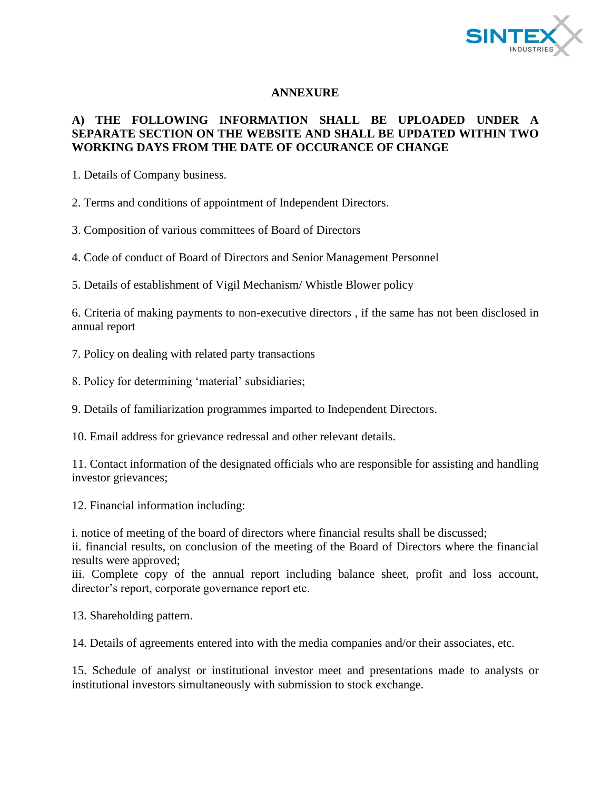

### **ANNEXURE**

### **A) THE FOLLOWING INFORMATION SHALL BE UPLOADED UNDER A SEPARATE SECTION ON THE WEBSITE AND SHALL BE UPDATED WITHIN TWO WORKING DAYS FROM THE DATE OF OCCURANCE OF CHANGE**

1. Details of Company business.

2. Terms and conditions of appointment of Independent Directors.

3. Composition of various committees of Board of Directors

4. Code of conduct of Board of Directors and Senior Management Personnel

5. Details of establishment of Vigil Mechanism/ Whistle Blower policy

6. Criteria of making payments to non-executive directors , if the same has not been disclosed in annual report

7. Policy on dealing with related party transactions

8. Policy for determining 'material' subsidiaries;

9. Details of familiarization programmes imparted to Independent Directors.

10. Email address for grievance redressal and other relevant details.

11. Contact information of the designated officials who are responsible for assisting and handling investor grievances;

12. Financial information including:

i. notice of meeting of the board of directors where financial results shall be discussed;

ii. financial results, on conclusion of the meeting of the Board of Directors where the financial results were approved;

iii. Complete copy of the annual report including balance sheet, profit and loss account, director's report, corporate governance report etc.

13. Shareholding pattern.

14. Details of agreements entered into with the media companies and/or their associates, etc.

15. Schedule of analyst or institutional investor meet and presentations made to analysts or institutional investors simultaneously with submission to stock exchange.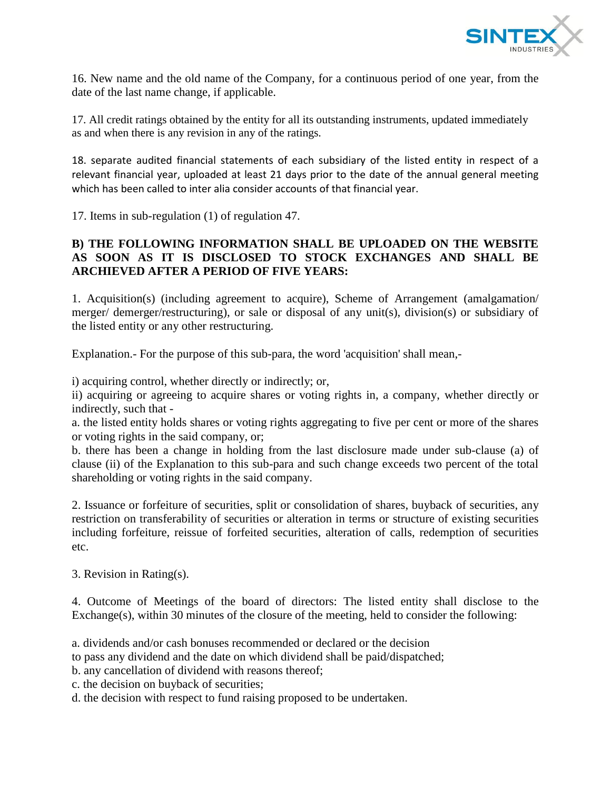

16. New name and the old name of the Company, for a continuous period of one year, from the date of the last name change, if applicable.

17. All credit ratings obtained by the entity for all its outstanding instruments, updated immediately as and when there is any revision in any of the ratings.

18. separate audited financial statements of each subsidiary of the listed entity in respect of a relevant financial year, uploaded at least 21 days prior to the date of the annual general meeting which has been called to inter alia consider accounts of that financial year.

17. Items in sub-regulation (1) of regulation 47.

### **B) THE FOLLOWING INFORMATION SHALL BE UPLOADED ON THE WEBSITE AS SOON AS IT IS DISCLOSED TO STOCK EXCHANGES AND SHALL BE ARCHIEVED AFTER A PERIOD OF FIVE YEARS:**

1. Acquisition(s) (including agreement to acquire), Scheme of Arrangement (amalgamation/ merger/ demerger/restructuring), or sale or disposal of any unit(s), division(s) or subsidiary of the listed entity or any other restructuring.

Explanation.- For the purpose of this sub-para, the word 'acquisition' shall mean,-

i) acquiring control, whether directly or indirectly; or,

ii) acquiring or agreeing to acquire shares or voting rights in, a company, whether directly or indirectly, such that -

a. the listed entity holds shares or voting rights aggregating to five per cent or more of the shares or voting rights in the said company, or;

b. there has been a change in holding from the last disclosure made under sub-clause (a) of clause (ii) of the Explanation to this sub-para and such change exceeds two percent of the total shareholding or voting rights in the said company.

2. Issuance or forfeiture of securities, split or consolidation of shares, buyback of securities, any restriction on transferability of securities or alteration in terms or structure of existing securities including forfeiture, reissue of forfeited securities, alteration of calls, redemption of securities etc.

3. Revision in Rating(s).

4. Outcome of Meetings of the board of directors: The listed entity shall disclose to the Exchange(s), within 30 minutes of the closure of the meeting, held to consider the following:

- a. dividends and/or cash bonuses recommended or declared or the decision
- to pass any dividend and the date on which dividend shall be paid/dispatched;
- b. any cancellation of dividend with reasons thereof;
- c. the decision on buyback of securities;
- d. the decision with respect to fund raising proposed to be undertaken.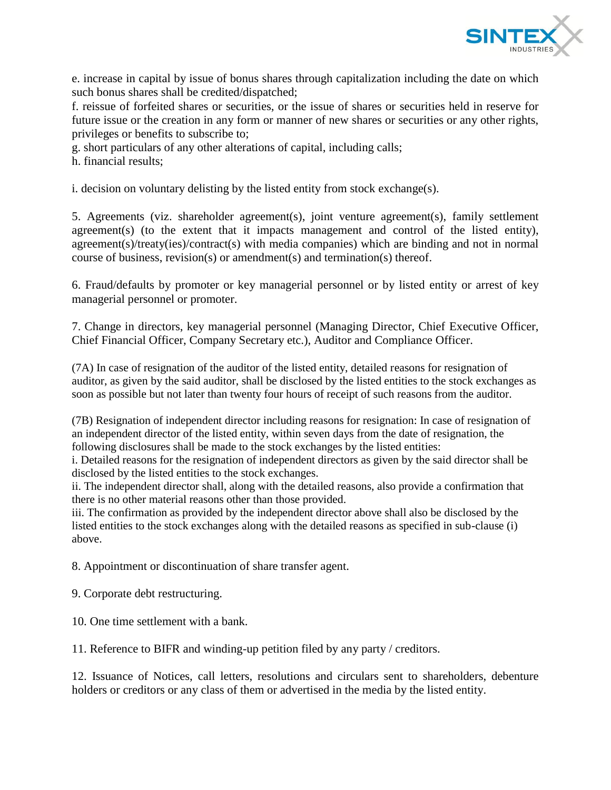

e. increase in capital by issue of bonus shares through capitalization including the date on which such bonus shares shall be credited/dispatched;

f. reissue of forfeited shares or securities, or the issue of shares or securities held in reserve for future issue or the creation in any form or manner of new shares or securities or any other rights, privileges or benefits to subscribe to;

g. short particulars of any other alterations of capital, including calls;

h. financial results;

i. decision on voluntary delisting by the listed entity from stock exchange(s).

5. Agreements (viz. shareholder agreement(s), joint venture agreement(s), family settlement agreement(s) (to the extent that it impacts management and control of the listed entity), agreement(s)/treaty(ies)/contract(s) with media companies) which are binding and not in normal course of business, revision(s) or amendment(s) and termination(s) thereof.

6. Fraud/defaults by promoter or key managerial personnel or by listed entity or arrest of key managerial personnel or promoter.

7. Change in directors, key managerial personnel (Managing Director, Chief Executive Officer, Chief Financial Officer, Company Secretary etc.), Auditor and Compliance Officer.

(7A) In case of resignation of the auditor of the listed entity, detailed reasons for resignation of auditor, as given by the said auditor, shall be disclosed by the listed entities to the stock exchanges as soon as possible but not later than twenty four hours of receipt of such reasons from the auditor.

(7B) Resignation of independent director including reasons for resignation: In case of resignation of an independent director of the listed entity, within seven days from the date of resignation, the following disclosures shall be made to the stock exchanges by the listed entities:

i. Detailed reasons for the resignation of independent directors as given by the said director shall be disclosed by the listed entities to the stock exchanges.

ii. The independent director shall, along with the detailed reasons, also provide a confirmation that there is no other material reasons other than those provided.

iii. The confirmation as provided by the independent director above shall also be disclosed by the listed entities to the stock exchanges along with the detailed reasons as specified in sub-clause (i) above.

8. Appointment or discontinuation of share transfer agent.

9. Corporate debt restructuring.

10. One time settlement with a bank.

11. Reference to BIFR and winding-up petition filed by any party / creditors.

12. Issuance of Notices, call letters, resolutions and circulars sent to shareholders, debenture holders or creditors or any class of them or advertised in the media by the listed entity.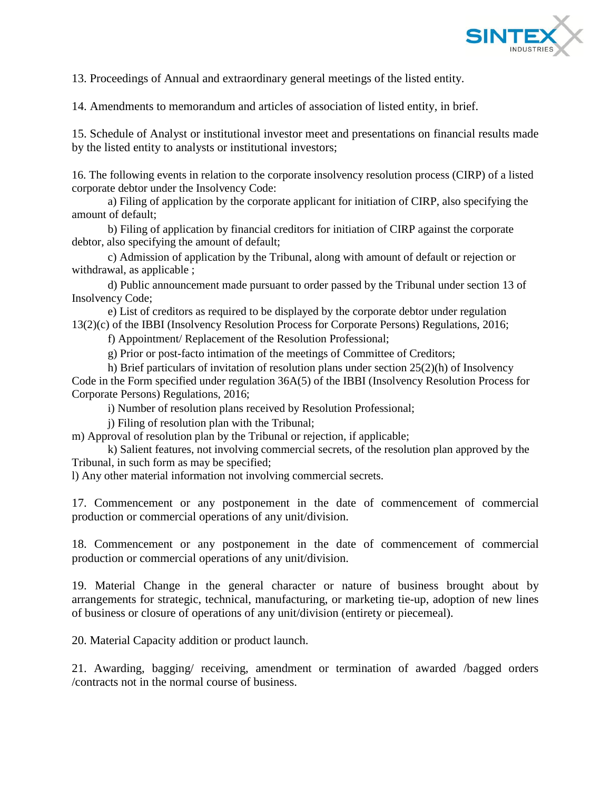

13. Proceedings of Annual and extraordinary general meetings of the listed entity.

14. Amendments to memorandum and articles of association of listed entity, in brief.

15. Schedule of Analyst or institutional investor meet and presentations on financial results made by the listed entity to analysts or institutional investors;

16. The following events in relation to the corporate insolvency resolution process (CIRP) of a listed corporate debtor under the Insolvency Code:

a) Filing of application by the corporate applicant for initiation of CIRP, also specifying the amount of default;

b) Filing of application by financial creditors for initiation of CIRP against the corporate debtor, also specifying the amount of default;

c) Admission of application by the Tribunal, along with amount of default or rejection or withdrawal, as applicable ;

d) Public announcement made pursuant to order passed by the Tribunal under section 13 of Insolvency Code;

e) List of creditors as required to be displayed by the corporate debtor under regulation 13(2)(c) of the IBBI (Insolvency Resolution Process for Corporate Persons) Regulations, 2016;

f) Appointment/ Replacement of the Resolution Professional;

g) Prior or post-facto intimation of the meetings of Committee of Creditors;

h) Brief particulars of invitation of resolution plans under section 25(2)(h) of Insolvency Code in the Form specified under regulation 36A(5) of the IBBI (Insolvency Resolution Process for Corporate Persons) Regulations, 2016;

i) Number of resolution plans received by Resolution Professional;

j) Filing of resolution plan with the Tribunal;

m) Approval of resolution plan by the Tribunal or rejection, if applicable;

k) Salient features, not involving commercial secrets, of the resolution plan approved by the Tribunal, in such form as may be specified;

l) Any other material information not involving commercial secrets.

17. Commencement or any postponement in the date of commencement of commercial production or commercial operations of any unit/division.

18. Commencement or any postponement in the date of commencement of commercial production or commercial operations of any unit/division.

19. Material Change in the general character or nature of business brought about by arrangements for strategic, technical, manufacturing, or marketing tie-up, adoption of new lines of business or closure of operations of any unit/division (entirety or piecemeal).

20. Material Capacity addition or product launch.

21. Awarding, bagging/ receiving, amendment or termination of awarded /bagged orders /contracts not in the normal course of business.